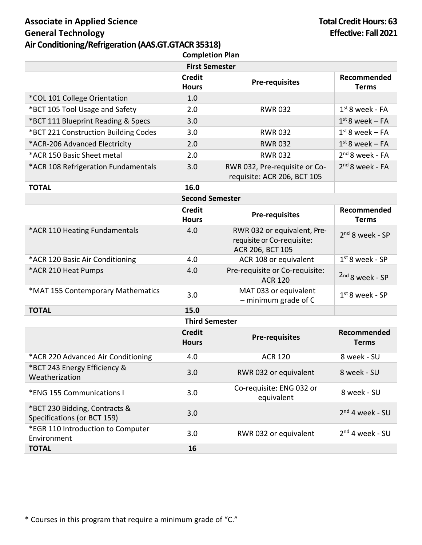## **Associate in Applied Science General Technology Air Conditioning/Refrigeration (AAS.GT.GTACR 35318) Completion Plan**

| <b>First Semester</b>                                        |                               |                                                                               |                             |  |
|--------------------------------------------------------------|-------------------------------|-------------------------------------------------------------------------------|-----------------------------|--|
|                                                              | <b>Credit</b><br><b>Hours</b> | <b>Pre-requisites</b>                                                         | Recommended<br><b>Terms</b> |  |
| *COL 101 College Orientation                                 | 1.0                           |                                                                               |                             |  |
| *BCT 105 Tool Usage and Safety                               | 2.0                           | <b>RWR032</b>                                                                 | $1st$ 8 week - FA           |  |
| *BCT 111 Blueprint Reading & Specs                           | 3.0                           |                                                                               | $1st$ 8 week – FA           |  |
| *BCT 221 Construction Building Codes                         | 3.0                           | <b>RWR032</b>                                                                 | $1st$ 8 week – FA           |  |
| *ACR-206 Advanced Electricity                                | 2.0                           | <b>RWR032</b>                                                                 | $1st$ 8 week – FA           |  |
| *ACR 150 Basic Sheet metal                                   | 2.0                           | <b>RWR032</b>                                                                 | $2nd 8$ week - FA           |  |
| *ACR 108 Refrigeration Fundamentals                          | 3.0                           | RWR 032, Pre-requisite or Co-<br>requisite: ACR 206, BCT 105                  | $2nd 8$ week - FA           |  |
| <b>TOTAL</b>                                                 | 16.0                          |                                                                               |                             |  |
|                                                              | <b>Second Semester</b>        |                                                                               |                             |  |
|                                                              | <b>Credit</b><br><b>Hours</b> | <b>Pre-requisites</b>                                                         | Recommended<br><b>Terms</b> |  |
| *ACR 110 Heating Fundamentals                                | 4.0                           | RWR 032 or equivalent, Pre-<br>requisite or Co-requisite:<br>ACR 206, BCT 105 | $2nd$ 8 week - SP           |  |
| *ACR 120 Basic Air Conditioning                              | 4.0                           | ACR 108 or equivalent                                                         | $1st$ 8 week - SP           |  |
| *ACR 210 Heat Pumps                                          | 4.0                           | Pre-requisite or Co-requisite:<br><b>ACR 120</b>                              | 2nd 8 week - SP             |  |
| *MAT 155 Contemporary Mathematics                            | 3.0                           | MAT 033 or equivalent<br>$-$ minimum grade of C                               | $1st$ 8 week - SP           |  |
| <b>TOTAL</b>                                                 | 15.0                          |                                                                               |                             |  |
| <b>Third Semester</b>                                        |                               |                                                                               |                             |  |
|                                                              | <b>Credit</b><br><b>Hours</b> | <b>Pre-requisites</b>                                                         | Recommended<br><b>Terms</b> |  |
| *ACR 220 Advanced Air Conditioning                           | 4.0                           | <b>ACR 120</b>                                                                | 8 week - SU                 |  |
| *BCT 243 Energy Efficiency &<br>Weatherization               | 3.0                           | RWR 032 or equivalent                                                         | 8 week - SU                 |  |
| *ENG 155 Communications I                                    | 3.0                           | Co-requisite: ENG 032 or<br>equivalent                                        | 8 week - SU                 |  |
| *BCT 230 Bidding, Contracts &<br>Specifications (or BCT 159) | 3.0                           |                                                                               | $2nd$ 4 week - SU           |  |
| *EGR 110 Introduction to Computer<br>Environment             | 3.0                           | RWR 032 or equivalent                                                         | $2nd$ 4 week - SU           |  |
| <b>TOTAL</b>                                                 | 16                            |                                                                               |                             |  |